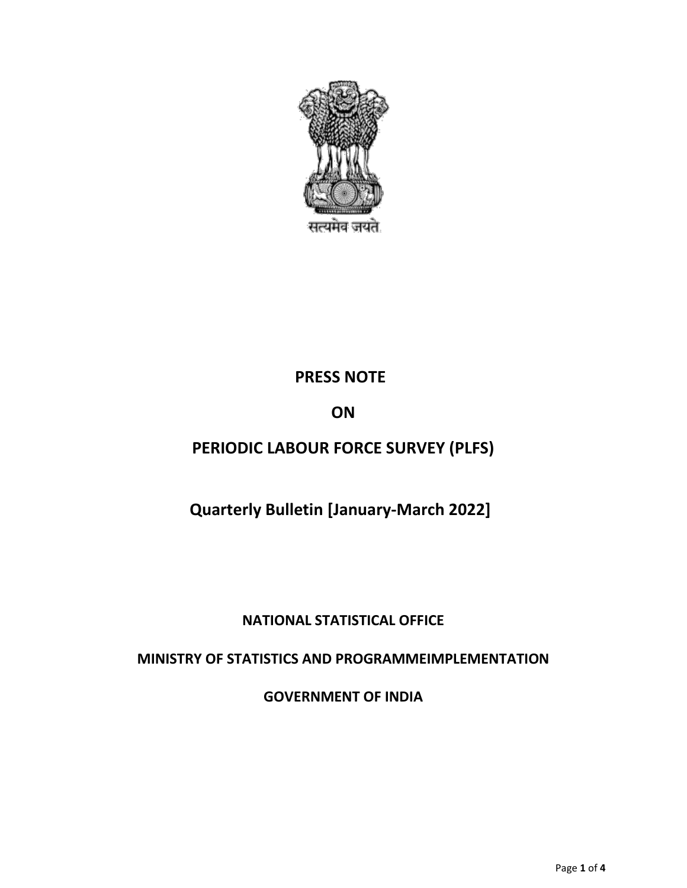

## **PRESS NOTE**

## **ON**

# **PERIODIC LABOUR FORCE SURVEY (PLFS)**

## **Quarterly Bulletin [January-March 2022]**

## **NATIONAL STATISTICAL OFFICE**

## **MINISTRY OF STATISTICS AND PROGRAMMEIMPLEMENTATION**

**GOVERNMENT OF INDIA**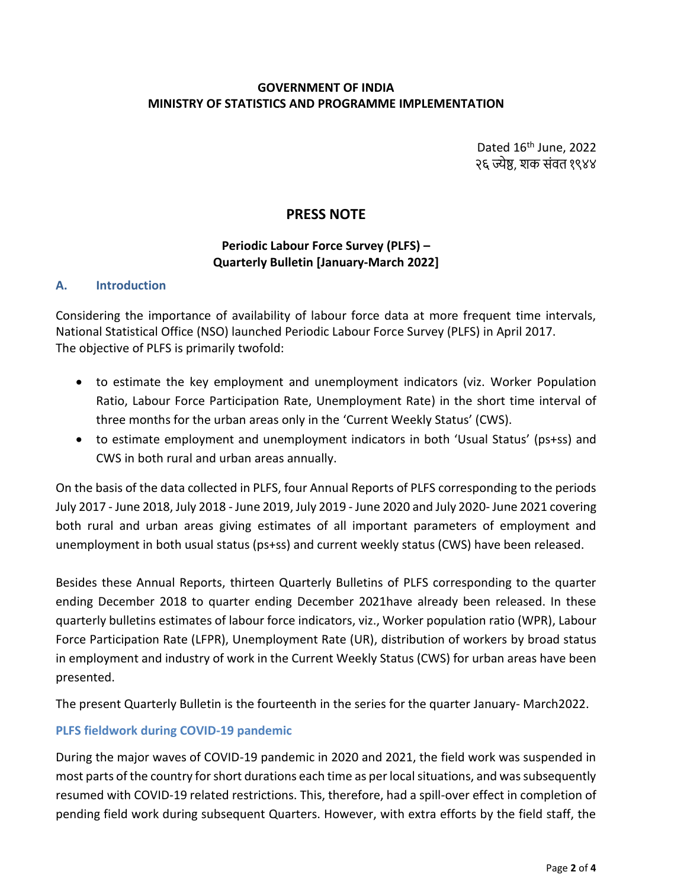#### **GOVERNMENT OF INDIA MINISTRY OF STATISTICS AND PROGRAMME IMPLEMENTATION**

Dated 16<sup>th</sup> June, 2022 २६ ज्येष्ठ, शक संवत १९४४

## **PRESS NOTE**

### **Periodic Labour Force Survey (PLFS) – Quarterly Bulletin [January-March 2022]**

#### **A. Introduction**

Considering the importance of availability of labour force data at more frequent time intervals, National Statistical Office (NSO) launched Periodic Labour Force Survey (PLFS) in April 2017. The objective of PLFS is primarily twofold:

- to estimate the key employment and unemployment indicators (viz. Worker Population Ratio, Labour Force Participation Rate, Unemployment Rate) in the short time interval of three months for the urban areas only in the 'Current Weekly Status' (CWS).
- to estimate employment and unemployment indicators in both 'Usual Status' (ps+ss) and CWS in both rural and urban areas annually.

On the basis of the data collected in PLFS, four Annual Reports of PLFS corresponding to the periods July 2017 - June 2018, July 2018 - June 2019, July 2019 - June 2020 and July 2020- June 2021 covering both rural and urban areas giving estimates of all important parameters of employment and unemployment in both usual status (ps+ss) and current weekly status (CWS) have been released.

Besides these Annual Reports, thirteen Quarterly Bulletins of PLFS corresponding to the quarter ending December 2018 to quarter ending December 2021have already been released. In these quarterly bulletins estimates of labour force indicators, viz., Worker population ratio (WPR), Labour Force Participation Rate (LFPR), Unemployment Rate (UR), distribution of workers by broad status in employment and industry of work in the Current Weekly Status (CWS) for urban areas have been presented.

The present Quarterly Bulletin is the fourteenth in the series for the quarter January- March2022.

### **PLFS fieldwork during COVID-19 pandemic**

During the major waves of COVID-19 pandemic in 2020 and 2021, the field work was suspended in most parts of the country for short durations each time as per local situations, and was subsequently resumed with COVID-19 related restrictions. This, therefore, had a spill-over effect in completion of pending field work during subsequent Quarters. However, with extra efforts by the field staff, the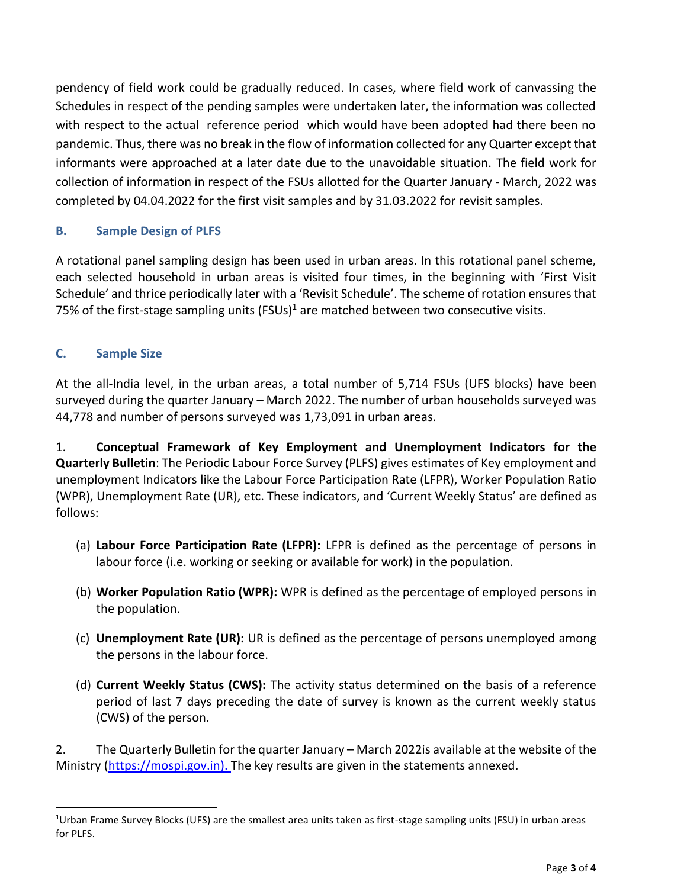pendency of field work could be gradually reduced. In cases, where field work of canvassing the Schedules in respect of the pending samples were undertaken later, the information was collected with respect to the actual reference period which would have been adopted had there been no pandemic. Thus, there was no break in the flow of information collected for any Quarter except that informants were approached at a later date due to the unavoidable situation. The field work for collection of information in respect of the FSUs allotted for the Quarter January - March, 2022 was completed by 04.04.2022 for the first visit samples and by 31.03.2022 for revisit samples.

### **B. Sample Design of PLFS**

A rotational panel sampling design has been used in urban areas. In this rotational panel scheme, each selected household in urban areas is visited four times, in the beginning with 'First Visit Schedule' and thrice periodically later with a 'Revisit Schedule'. The scheme of rotation ensures that 75% of the first-stage sampling units  $(FSUS)^{1}$  are matched between two consecutive visits.

### **C. Sample Size**

 $\overline{a}$ 

At the all-India level, in the urban areas, a total number of 5,714 FSUs (UFS blocks) have been surveyed during the quarter January – March 2022. The number of urban households surveyed was 44,778 and number of persons surveyed was 1,73,091 in urban areas.

1. **Conceptual Framework of Key Employment and Unemployment Indicators for the Quarterly Bulletin**: The Periodic Labour Force Survey (PLFS) gives estimates of Key employment and unemployment Indicators like the Labour Force Participation Rate (LFPR), Worker Population Ratio (WPR), Unemployment Rate (UR), etc. These indicators, and 'Current Weekly Status' are defined as follows:

- (a) **Labour Force Participation Rate (LFPR):** LFPR is defined as the percentage of persons in labour force (i.e. working or seeking or available for work) in the population.
- (b) **Worker Population Ratio (WPR):** WPR is defined as the percentage of employed persons in the population.
- (c) **Unemployment Rate (UR):** UR is defined as the percentage of persons unemployed among the persons in the labour force.
- (d) **Current Weekly Status (CWS):** The activity status determined on the basis of a reference period of last 7 days preceding the date of survey is known as the current weekly status (CWS) of the person.

2. The Quarterly Bulletin for the quarter January – March 2022is available at the website of the Ministry [\(https://mospi.gov.in\)](https://mospi.gov.in/). The key results are given in the statements annexed.

<sup>1</sup>Urban Frame Survey Blocks (UFS) are the smallest area units taken as first-stage sampling units (FSU) in urban areas for PLFS.